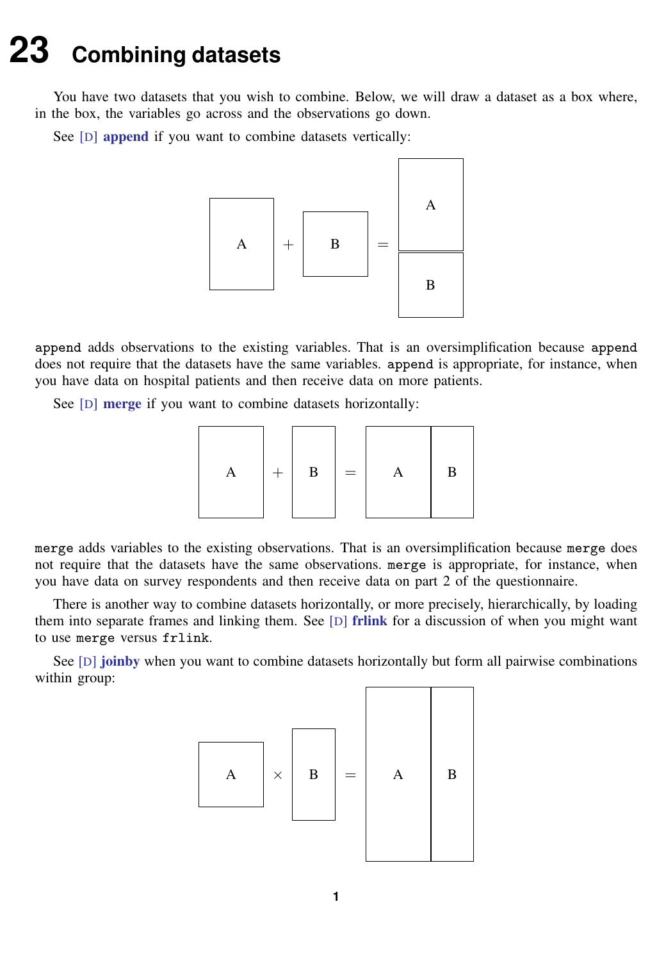## <span id="page-0-0"></span>**23 Combining datasets**

You have two datasets that you wish to combine. Below, we will draw a dataset as a box where, in the box, the variables go across and the observations go down.

See [D] **[append](https://www.stata.com/manuals/dappend.pdf#dappend)** if you want to combine datasets vertically:



append adds observations to the existing variables. That is an oversimplification because append does not require that the datasets have the same variables. append is appropriate, for instance, when you have data on hospital patients and then receive data on more patients.

See [D] [merge](https://www.stata.com/manuals/dmerge.pdf#dmerge) if you want to combine datasets horizontally:

$$
\begin{array}{|c|c|c|c|c|}\n\hline\n\multicolumn{3}{|c|}{A} & + & B \\
\hline\n\multicolumn{3}{|c|}{B} & = & A & B \\
\hline\n\end{array}
$$

merge adds variables to the existing observations. That is an oversimplification because merge does not require that the datasets have the same observations. merge is appropriate, for instance, when you have data on survey respondents and then receive data on part 2 of the questionnaire.

There is another way to combine datasets horizontally, or more precisely, hierarchically, by loading them into separate frames and linking them. See  $[D]$  [frlink](https://www.stata.com/manuals/dfrlink.pdf#dfrlink) for a discussion of when you might want to use merge versus frlink.

See [D] [joinby](https://www.stata.com/manuals/djoinby.pdf#djoinby) when you want to combine datasets horizontally but form all pairwise combinations within group:

$$
\begin{array}{|c|c|c|c|}\n\hline\n\text{A} & \times & \text{B} \\
\hline\n\end{array}\n\qquad \qquad \begin{array}{|c|c|c|c|}\n\hline\n\end{array}\n\qquad \qquad \begin{array}{|c|c|c|}\n\hline\n\end{array}\n\qquad \qquad \begin{array}{|c|c|c|}\n\hline\n\end{array}\n\qquad \qquad \begin{array}{|c|c|c|}\n\hline\n\end{array}\n\qquad \qquad \begin{array}{|c|c|c|}\n\hline\n\end{array}\n\qquad \qquad \begin{array}{|c|c|c|}\n\hline\n\end{array}\n\qquad \qquad \begin{array}{|c|c|c|}\n\hline\n\end{array}\n\qquad \qquad \begin{array}{|c|c|c|}\n\hline\n\end{array}\n\qquad \qquad \begin{array}{|c|c|c|}\n\hline\n\end{array}\n\qquad \qquad \begin{array}{|c|c|c|}\n\hline\n\end{array}\n\qquad \qquad \begin{array}{|c|c|c|}\n\hline\n\end{array}\n\qquad \qquad \begin{array}{|c|c|c|c|}\n\hline\n\end{array}\n\qquad \qquad \begin{array}{|c|c|c|c|}\n\hline\n\end{array}\n\qquad \qquad \begin{array}{|c|c|c|c|}\n\hline\n\end{array}\n\qquad \qquad \begin{array}{|c|c|c|c|}\n\hline\n\end{array}\n\qquad \qquad \begin{array}{|c|c|c|c|}\n\hline\n\end{array}\n\qquad \qquad \begin{array}{|c|c|c|c|c|}\n\hline\n\end{array}\n\qquad \qquad \begin{array}{|c|c|c|c|c|}\n\hline\n\end{array}\n\qquad \qquad \begin{array}{|c|c|c|c|c|}\n\hline\n\end{array}\n\qquad \qquad \begin{array}{|c|c|c|c|c|c|}\n\hline\n\end{array}\n\qquad \qquad \begin{array}{|c|c|c|c|c|c|}\n\hline\n\end{array}\n\qquad \qquad \begin{array}{|c|c|c|c|c|}\n\hline\n\end{array}\n\qquad \qquad \begin{array}{|c|c
$$